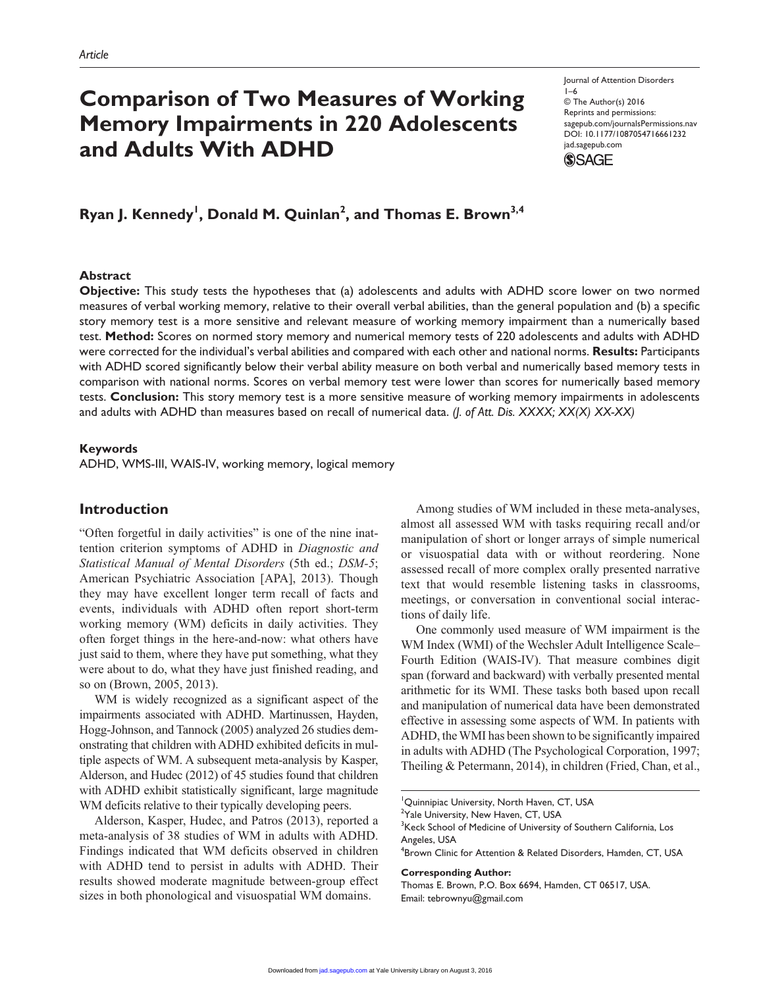# **Comparison of Two Measures of Working Memory Impairments in 220 Adolescents and Adults With ADHD**

Journal of Attention Disorders 1–6 © The Author(s) 2016 Reprints and permissions: sagepub.com/journalsPermissions.nav DOI: 10.1177/1087054716661232 jad.sagepub.com

**SSAGE** 

# **Ryan J. Kennedy<sup>I</sup>, Donald M. Quinlan<sup>2</sup>, and Thomas E. Brown<sup>3,4</sup>**

#### **Abstract**

**Objective:** This study tests the hypotheses that (a) adolescents and adults with ADHD score lower on two normed measures of verbal working memory, relative to their overall verbal abilities, than the general population and (b) a specific story memory test is a more sensitive and relevant measure of working memory impairment than a numerically based test. **Method:** Scores on normed story memory and numerical memory tests of 220 adolescents and adults with ADHD were corrected for the individual's verbal abilities and compared with each other and national norms. **Results:** Participants with ADHD scored significantly below their verbal ability measure on both verbal and numerically based memory tests in comparison with national norms. Scores on verbal memory test were lower than scores for numerically based memory tests. **Conclusion:** This story memory test is a more sensitive measure of working memory impairments in adolescents and adults with ADHD than measures based on recall of numerical data. *(J. of Att. Dis. XXXX; XX(X) XX-XX)*

#### **Keywords**

ADHD, WMS-III, WAIS-IV, working memory, logical memory

# **Introduction**

"Often forgetful in daily activities" is one of the nine inattention criterion symptoms of ADHD in *Diagnostic and Statistical Manual of Mental Disorders* (5th ed.; *DSM-5*; American Psychiatric Association [APA], 2013). Though they may have excellent longer term recall of facts and events, individuals with ADHD often report short-term working memory (WM) deficits in daily activities. They often forget things in the here-and-now: what others have just said to them, where they have put something, what they were about to do, what they have just finished reading, and so on (Brown, 2005, 2013).

WM is widely recognized as a significant aspect of the impairments associated with ADHD. Martinussen, Hayden, Hogg-Johnson, and Tannock (2005) analyzed 26 studies demonstrating that children with ADHD exhibited deficits in multiple aspects of WM. A subsequent meta-analysis by Kasper, Alderson, and Hudec (2012) of 45 studies found that children with ADHD exhibit statistically significant, large magnitude WM deficits relative to their typically developing peers.

Alderson, Kasper, Hudec, and Patros (2013), reported a meta-analysis of 38 studies of WM in adults with ADHD. Findings indicated that WM deficits observed in children with ADHD tend to persist in adults with ADHD. Their results showed moderate magnitude between-group effect sizes in both phonological and visuospatial WM domains.

Among studies of WM included in these meta-analyses, almost all assessed WM with tasks requiring recall and/or manipulation of short or longer arrays of simple numerical or visuospatial data with or without reordering. None assessed recall of more complex orally presented narrative text that would resemble listening tasks in classrooms, meetings, or conversation in conventional social interactions of daily life.

One commonly used measure of WM impairment is the WM Index (WMI) of the Wechsler Adult Intelligence Scale– Fourth Edition (WAIS-IV). That measure combines digit span (forward and backward) with verbally presented mental arithmetic for its WMI. These tasks both based upon recall and manipulation of numerical data have been demonstrated effective in assessing some aspects of WM. In patients with ADHD, the WMI has been shown to be significantly impaired in adults with ADHD (The Psychological Corporation, 1997; Theiling & Petermann, 2014), in children (Fried, Chan, et al.,

#### **Corresponding Author:**

Thomas E. Brown, P.O. Box 6694, Hamden, CT 06517, USA. Email: [tebrownyu@gmail.com](mailto:tebrownyu@gmail.com)

<sup>&</sup>lt;sup>1</sup>Quinnipiac University, North Haven, CT, USA

<sup>&</sup>lt;sup>2</sup>Yale University, New Haven, CT, USA

 $3$ Keck School of Medicine of University of Southern California, Los Angeles, USA

<sup>4</sup> Brown Clinic for Attention & Related Disorders, Hamden, CT, USA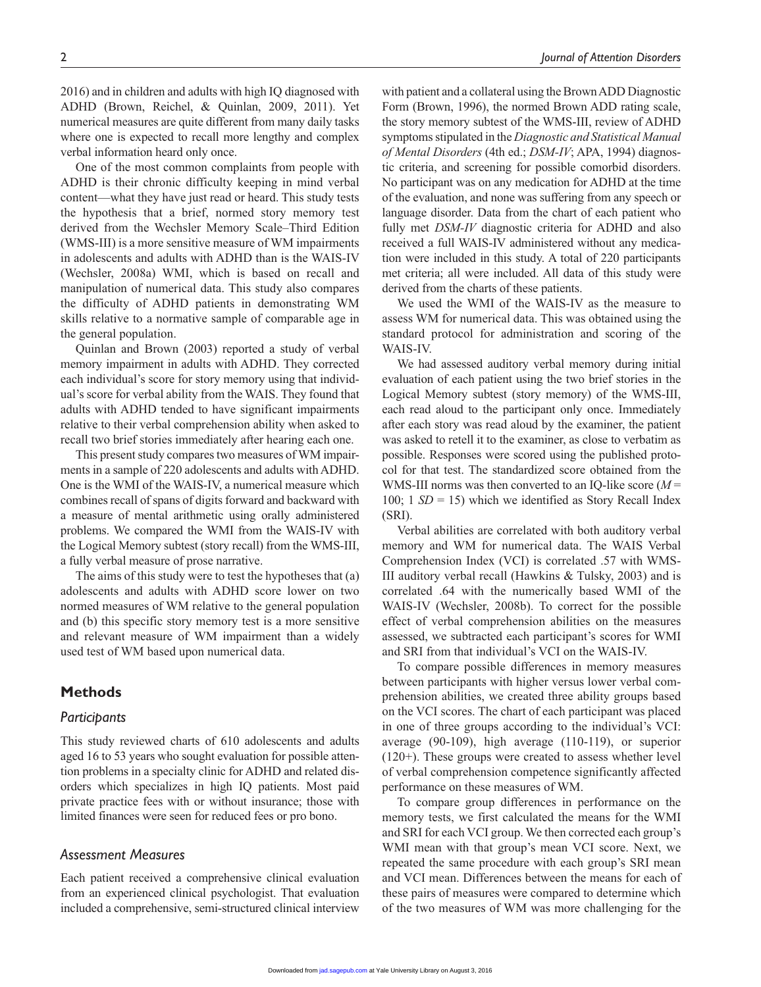2016) and in children and adults with high IQ diagnosed with ADHD (Brown, Reichel, & Quinlan, 2009, 2011). Yet numerical measures are quite different from many daily tasks where one is expected to recall more lengthy and complex verbal information heard only once.

One of the most common complaints from people with ADHD is their chronic difficulty keeping in mind verbal content—what they have just read or heard. This study tests the hypothesis that a brief, normed story memory test derived from the Wechsler Memory Scale–Third Edition (WMS-III) is a more sensitive measure of WM impairments in adolescents and adults with ADHD than is the WAIS-IV (Wechsler, 2008a) WMI, which is based on recall and manipulation of numerical data. This study also compares the difficulty of ADHD patients in demonstrating WM skills relative to a normative sample of comparable age in the general population.

Quinlan and Brown (2003) reported a study of verbal memory impairment in adults with ADHD. They corrected each individual's score for story memory using that individual's score for verbal ability from the WAIS. They found that adults with ADHD tended to have significant impairments relative to their verbal comprehension ability when asked to recall two brief stories immediately after hearing each one.

This present study compares two measures of WM impairments in a sample of 220 adolescents and adults with ADHD. One is the WMI of the WAIS-IV, a numerical measure which combines recall of spans of digits forward and backward with a measure of mental arithmetic using orally administered problems. We compared the WMI from the WAIS-IV with the Logical Memory subtest (story recall) from the WMS-III, a fully verbal measure of prose narrative.

The aims of this study were to test the hypotheses that (a) adolescents and adults with ADHD score lower on two normed measures of WM relative to the general population and (b) this specific story memory test is a more sensitive and relevant measure of WM impairment than a widely used test of WM based upon numerical data.

# **Methods**

### *Participants*

This study reviewed charts of 610 adolescents and adults aged 16 to 53 years who sought evaluation for possible attention problems in a specialty clinic for ADHD and related disorders which specializes in high IQ patients. Most paid private practice fees with or without insurance; those with limited finances were seen for reduced fees or pro bono.

#### *Assessment Measures*

Each patient received a comprehensive clinical evaluation from an experienced clinical psychologist. That evaluation included a comprehensive, semi-structured clinical interview with patient and a collateral using the Brown ADD Diagnostic Form (Brown, 1996), the normed Brown ADD rating scale, the story memory subtest of the WMS-III, review of ADHD symptoms stipulated in the *Diagnostic and Statistical Manual of Mental Disorders* (4th ed.; *DSM-IV*; APA, 1994) diagnostic criteria, and screening for possible comorbid disorders. No participant was on any medication for ADHD at the time of the evaluation, and none was suffering from any speech or language disorder. Data from the chart of each patient who fully met *DSM-IV* diagnostic criteria for ADHD and also received a full WAIS-IV administered without any medication were included in this study. A total of 220 participants met criteria; all were included. All data of this study were derived from the charts of these patients.

We used the WMI of the WAIS-IV as the measure to assess WM for numerical data. This was obtained using the standard protocol for administration and scoring of the WAIS-IV.

We had assessed auditory verbal memory during initial evaluation of each patient using the two brief stories in the Logical Memory subtest (story memory) of the WMS-III, each read aloud to the participant only once. Immediately after each story was read aloud by the examiner, the patient was asked to retell it to the examiner, as close to verbatim as possible. Responses were scored using the published protocol for that test. The standardized score obtained from the WMS-III norms was then converted to an IQ-like score (*M* = 100; 1 *SD* = 15) which we identified as Story Recall Index (SRI).

Verbal abilities are correlated with both auditory verbal memory and WM for numerical data. The WAIS Verbal Comprehension Index (VCI) is correlated .57 with WMS-III auditory verbal recall (Hawkins & Tulsky, 2003) and is correlated .64 with the numerically based WMI of the WAIS-IV (Wechsler, 2008b). To correct for the possible effect of verbal comprehension abilities on the measures assessed, we subtracted each participant's scores for WMI and SRI from that individual's VCI on the WAIS-IV.

To compare possible differences in memory measures between participants with higher versus lower verbal comprehension abilities, we created three ability groups based on the VCI scores. The chart of each participant was placed in one of three groups according to the individual's VCI: average (90-109), high average (110-119), or superior (120+). These groups were created to assess whether level of verbal comprehension competence significantly affected performance on these measures of WM.

To compare group differences in performance on the memory tests, we first calculated the means for the WMI and SRI for each VCI group. We then corrected each group's WMI mean with that group's mean VCI score. Next, we repeated the same procedure with each group's SRI mean and VCI mean. Differences between the means for each of these pairs of measures were compared to determine which of the two measures of WM was more challenging for the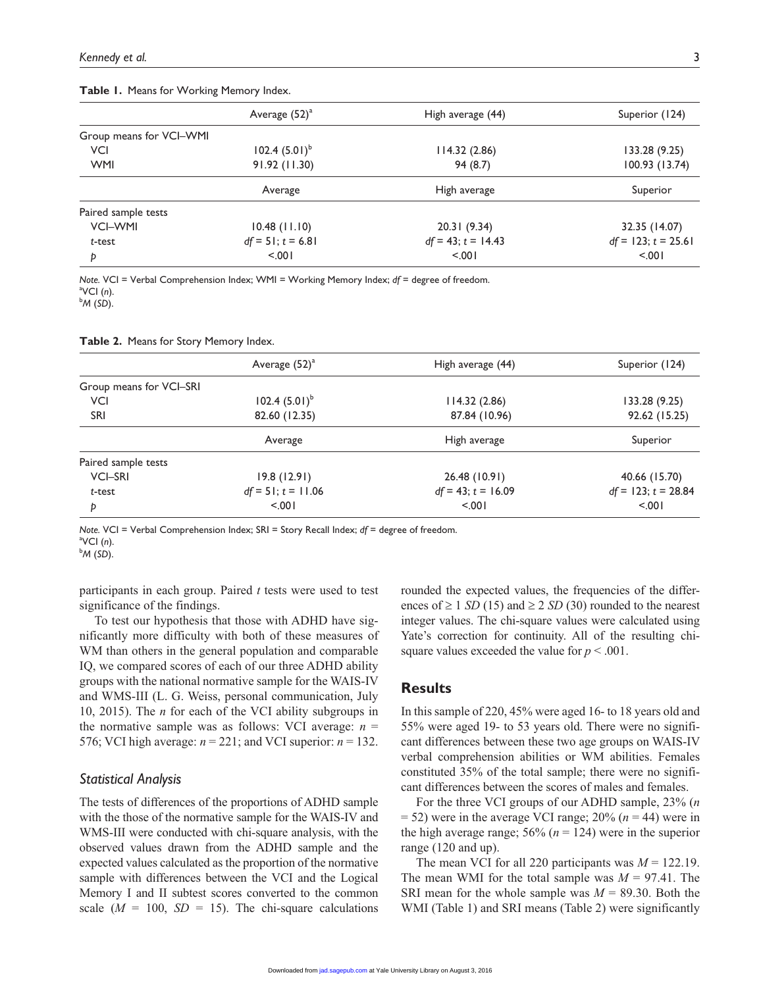#### **Table 1.** Means for Working Memory Index.

|                         | Average $(52)^{a}$     | High average (44)       | Superior (124)           |
|-------------------------|------------------------|-------------------------|--------------------------|
| Group means for VCI-WMI |                        |                         |                          |
| <b>VCI</b>              | $102.4 (5.01)^{b}$     | 114.32(2.86)            | 133.28 (9.25)            |
| <b>WMI</b>              | 91.92 (11.30)          | 94(8.7)                 | 100.93 (13.74)           |
|                         | Average                | High average            | Superior                 |
| Paired sample tests     |                        |                         |                          |
| <b>VCI-WMI</b>          | $10.48$ (11.10)        | 20.31(9.34)             | 32.35 (14.07)            |
| t-test                  | $df = 51$ ; $t = 6.81$ | $df = 43$ ; $t = 14.43$ | $df = 123$ ; $t = 25.61$ |
| Þ                       | 5.001                  | < 0.001                 | < 0.001                  |

*Note.* VCI = Verbal Comprehension Index; WMI = Working Memory Index; *df* = degree of freedom. a VCI (*n*).

b *M* (*SD*).

**Table 2.** Means for Story Memory Index.

|                         | Average $(52)^{a}$      | High average (44)       | Superior (124)           |
|-------------------------|-------------------------|-------------------------|--------------------------|
| Group means for VCI-SRI |                         |                         |                          |
| <b>VCI</b>              | $102.4 (5.01)^{b}$      | 114.32(2.86)            | 133.28 (9.25)            |
| <b>SRI</b>              | 82.60 (12.35)           | 87.84 (10.96)           | 92.62 (15.25)            |
|                         | Average                 | High average            | Superior                 |
| Paired sample tests     |                         |                         |                          |
| <b>VCI-SRI</b>          | 19.8(12.91)             | 26.48 (10.91)           | 40.66 (15.70)            |
| $t$ -test               | $df = 51$ ; $t = 11.06$ | $df = 43$ ; $t = 16.09$ | $df = 123$ ; $t = 28.84$ |
| Þ                       | < 0.01                  | < 0.01                  | < 0.001                  |

*Note.* VCI = Verbal Comprehension Index; SRI = Story Recall Index; *df* = degree of freedom.

a VCI (*n*).

b *M* (*SD*).

participants in each group. Paired *t* tests were used to test significance of the findings.

To test our hypothesis that those with ADHD have significantly more difficulty with both of these measures of WM than others in the general population and comparable IQ, we compared scores of each of our three ADHD ability groups with the national normative sample for the WAIS-IV and WMS-III (L. G. Weiss, personal communication, July 10, 2015). The *n* for each of the VCI ability subgroups in the normative sample was as follows: VCI average:  $n =$ 576; VCI high average: *n* = 221; and VCI superior: *n* = 132.

#### *Statistical Analysis*

The tests of differences of the proportions of ADHD sample with the those of the normative sample for the WAIS-IV and WMS-III were conducted with chi-square analysis, with the observed values drawn from the ADHD sample and the expected values calculated as the proportion of the normative sample with differences between the VCI and the Logical Memory I and II subtest scores converted to the common scale  $(M = 100, SD = 15)$ . The chi-square calculations

rounded the expected values, the frequencies of the differences of  $\geq 1$  *SD* (15) and  $\geq 2$  *SD* (30) rounded to the nearest integer values. The chi-square values were calculated using Yate's correction for continuity. All of the resulting chisquare values exceeded the value for  $p < .001$ .

## **Results**

In this sample of 220, 45% were aged 16- to 18 years old and 55% were aged 19- to 53 years old. There were no significant differences between these two age groups on WAIS-IV verbal comprehension abilities or WM abilities. Females constituted 35% of the total sample; there were no significant differences between the scores of males and females.

For the three VCI groups of our ADHD sample, 23% (*n*  $= 52$ ) were in the average VCI range; 20% ( $n = 44$ ) were in the high average range;  $56\%$  ( $n = 124$ ) were in the superior range (120 and up).

The mean VCI for all 220 participants was *M* = 122.19. The mean WMI for the total sample was  $M = 97.41$ . The SRI mean for the whole sample was  $M = 89.30$ . Both the WMI (Table 1) and SRI means (Table 2) were significantly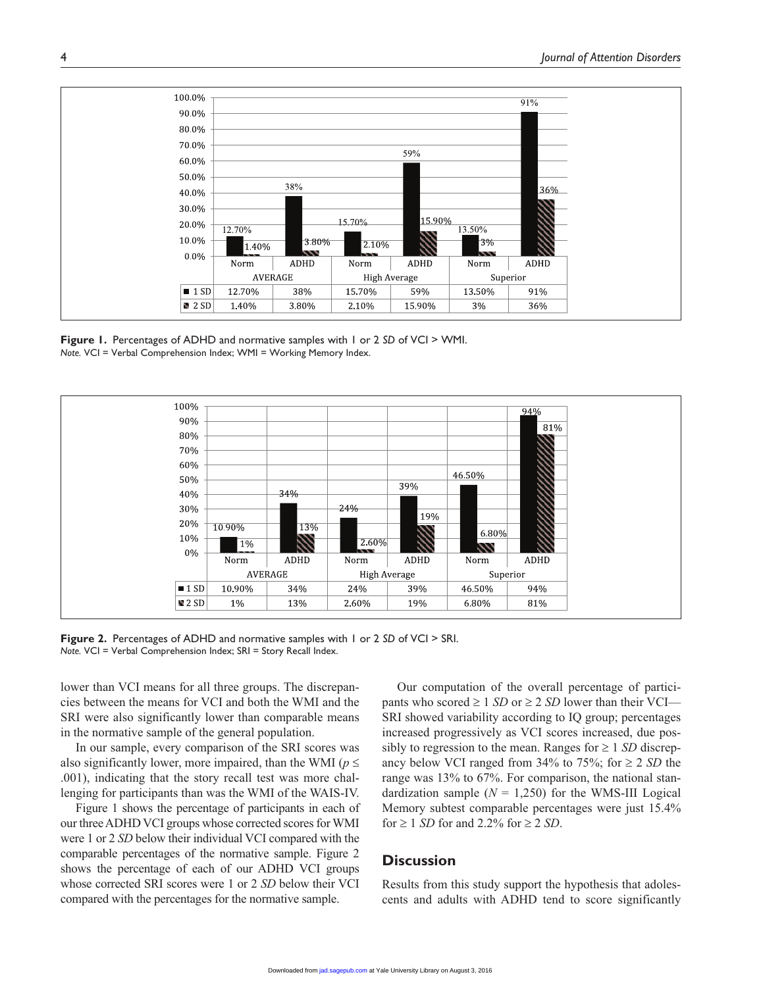

**Figure 1.** Percentages of ADHD and normative samples with 1 or 2 *SD* of VCI > WMI. *Note.* VCI = Verbal Comprehension Index; WMI = Working Memory Index.



**Figure 2.** Percentages of ADHD and normative samples with 1 or 2 *SD* of VCI > SRI. *Note.* VCI = Verbal Comprehension Index; SRI = Story Recall Index.

lower than VCI means for all three groups. The discrepancies between the means for VCI and both the WMI and the SRI were also significantly lower than comparable means in the normative sample of the general population.

In our sample, every comparison of the SRI scores was also significantly lower, more impaired, than the WMI ( $p \leq$ .001), indicating that the story recall test was more challenging for participants than was the WMI of the WAIS-IV.

Figure 1 shows the percentage of participants in each of our three ADHD VCI groups whose corrected scores for WMI were 1 or 2 *SD* below their individual VCI compared with the comparable percentages of the normative sample. Figure 2 shows the percentage of each of our ADHD VCI groups whose corrected SRI scores were 1 or 2 *SD* below their VCI compared with the percentages for the normative sample.

Our computation of the overall percentage of participants who scored  $\geq 1$  *SD* or  $\geq 2$  *SD* lower than their VCI— SRI showed variability according to IQ group; percentages increased progressively as VCI scores increased, due possibly to regression to the mean. Ranges for  $\geq 1$  *SD* discrepancy below VCI ranged from  $34\%$  to  $75\%$ ; for  $\geq 2$  *SD* the range was 13% to 67%. For comparison, the national standardization sample  $(N = 1,250)$  for the WMS-III Logical Memory subtest comparable percentages were just 15.4% for  $\geq 1$  *SD* for and 2.2% for  $\geq 2$  *SD*.

# **Discussion**

Results from this study support the hypothesis that adolescents and adults with ADHD tend to score significantly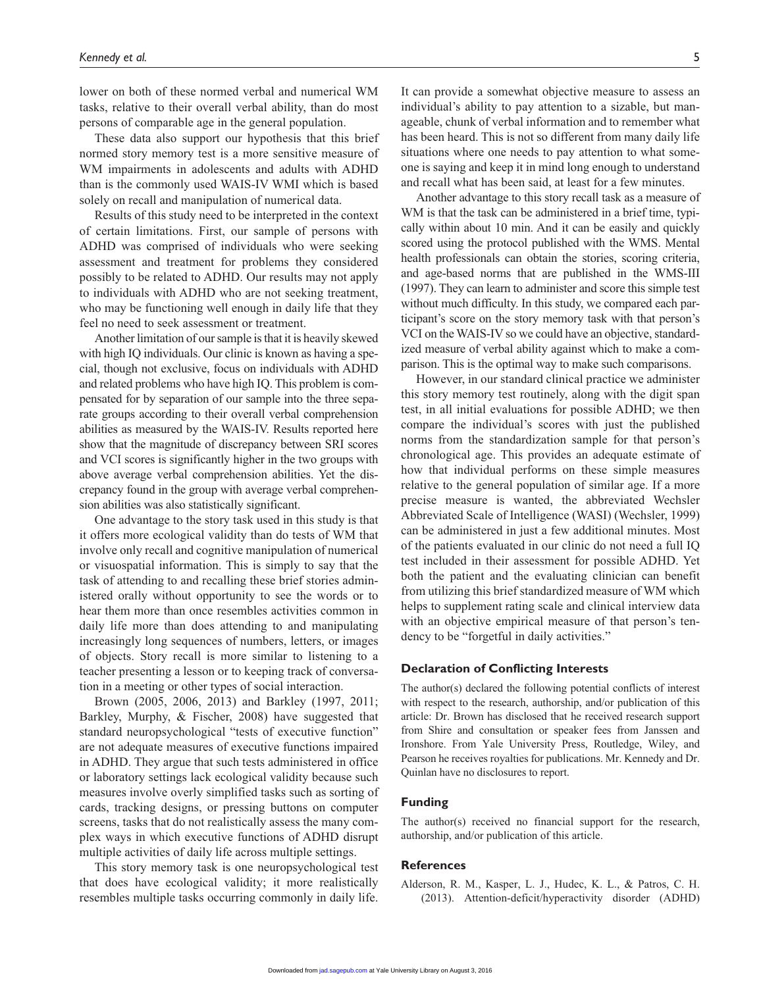lower on both of these normed verbal and numerical WM tasks, relative to their overall verbal ability, than do most persons of comparable age in the general population.

These data also support our hypothesis that this brief normed story memory test is a more sensitive measure of WM impairments in adolescents and adults with ADHD than is the commonly used WAIS-IV WMI which is based solely on recall and manipulation of numerical data.

Results of this study need to be interpreted in the context of certain limitations. First, our sample of persons with ADHD was comprised of individuals who were seeking assessment and treatment for problems they considered possibly to be related to ADHD. Our results may not apply to individuals with ADHD who are not seeking treatment, who may be functioning well enough in daily life that they feel no need to seek assessment or treatment.

Another limitation of our sample is that it is heavily skewed with high IQ individuals. Our clinic is known as having a special, though not exclusive, focus on individuals with ADHD and related problems who have high IQ. This problem is compensated for by separation of our sample into the three separate groups according to their overall verbal comprehension abilities as measured by the WAIS-IV. Results reported here show that the magnitude of discrepancy between SRI scores and VCI scores is significantly higher in the two groups with above average verbal comprehension abilities. Yet the discrepancy found in the group with average verbal comprehension abilities was also statistically significant.

One advantage to the story task used in this study is that it offers more ecological validity than do tests of WM that involve only recall and cognitive manipulation of numerical or visuospatial information. This is simply to say that the task of attending to and recalling these brief stories administered orally without opportunity to see the words or to hear them more than once resembles activities common in daily life more than does attending to and manipulating increasingly long sequences of numbers, letters, or images of objects. Story recall is more similar to listening to a teacher presenting a lesson or to keeping track of conversation in a meeting or other types of social interaction.

Brown (2005, 2006, 2013) and Barkley (1997, 2011; Barkley, Murphy, & Fischer, 2008) have suggested that standard neuropsychological "tests of executive function" are not adequate measures of executive functions impaired in ADHD. They argue that such tests administered in office or laboratory settings lack ecological validity because such measures involve overly simplified tasks such as sorting of cards, tracking designs, or pressing buttons on computer screens, tasks that do not realistically assess the many complex ways in which executive functions of ADHD disrupt multiple activities of daily life across multiple settings.

This story memory task is one neuropsychological test that does have ecological validity; it more realistically resembles multiple tasks occurring commonly in daily life.

It can provide a somewhat objective measure to assess an individual's ability to pay attention to a sizable, but manageable, chunk of verbal information and to remember what has been heard. This is not so different from many daily life situations where one needs to pay attention to what someone is saying and keep it in mind long enough to understand and recall what has been said, at least for a few minutes.

Another advantage to this story recall task as a measure of WM is that the task can be administered in a brief time, typically within about 10 min. And it can be easily and quickly scored using the protocol published with the WMS. Mental health professionals can obtain the stories, scoring criteria, and age-based norms that are published in the WMS-III (1997). They can learn to administer and score this simple test without much difficulty. In this study, we compared each participant's score on the story memory task with that person's VCI on the WAIS-IV so we could have an objective, standardized measure of verbal ability against which to make a comparison. This is the optimal way to make such comparisons.

However, in our standard clinical practice we administer this story memory test routinely, along with the digit span test, in all initial evaluations for possible ADHD; we then compare the individual's scores with just the published norms from the standardization sample for that person's chronological age. This provides an adequate estimate of how that individual performs on these simple measures relative to the general population of similar age. If a more precise measure is wanted, the abbreviated Wechsler Abbreviated Scale of Intelligence (WASI) (Wechsler, 1999) can be administered in just a few additional minutes. Most of the patients evaluated in our clinic do not need a full IQ test included in their assessment for possible ADHD. Yet both the patient and the evaluating clinician can benefit from utilizing this brief standardized measure of WM which helps to supplement rating scale and clinical interview data with an objective empirical measure of that person's tendency to be "forgetful in daily activities."

#### **Declaration of Conflicting Interests**

The author(s) declared the following potential conflicts of interest with respect to the research, authorship, and/or publication of this article: Dr. Brown has disclosed that he received research support from Shire and consultation or speaker fees from Janssen and Ironshore. From Yale University Press, Routledge, Wiley, and Pearson he receives royalties for publications. Mr. Kennedy and Dr. Quinlan have no disclosures to report.

#### **Funding**

The author(s) received no financial support for the research, authorship, and/or publication of this article.

#### **References**

Alderson, R. M., Kasper, L. J., Hudec, K. L., & Patros, C. H. (2013). Attention-deficit/hyperactivity disorder (ADHD)